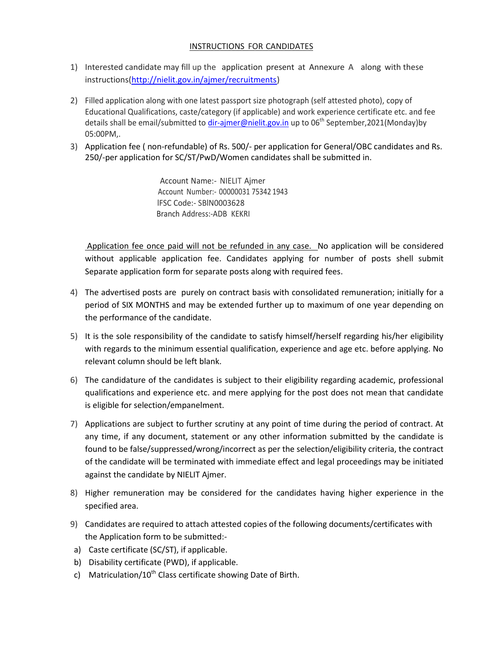## INSTRUCTIONS FOR CANDIDATES

- 1) Interested candidate may fill up the application present at Annexure A along with these instructions[\(http://nielit.gov.in/ajmer/recruitments\)](http://nielit.gov.in/ajmer/recruitments)
- 2) Filled application along with one latest passport size photograph (self attested photo), copy of Educational Qualifications, caste/category (if applicable) and work experience certificate etc. and fee details shall be email/submitted to [dir-ajmer@nielit.gov.in](mailto:dir-ajmer@nielit.gov.in) up to 06<sup>th</sup> September,2021(Monday)by 05:00PM,.
- 3) Application fee ( non-refundable) of Rs. 500/- per application for General/OBC candidates and Rs. 250/-per application for SC/ST/PwD/Women candidates shall be submitted in.

 Account Name:- NIELIT Ajmer Account Number:- 00000031 75342 1943 lFSC Code:- SBlN0003628 ' Branch Address:-ADB KEKRI

Application fee once paid will not be refunded in any case. No application will be considered without applicable application fee. Candidates applying for number of posts shell submit Separate application form for separate posts along with required fees.

- 4) The advertised posts are purely on contract basis with consolidated remuneration; initially for a period of SIX MONTHS and may be extended further up to maximum of one year depending on the performance of the candidate.
- 5) It is the sole responsibility of the candidate to satisfy himself/herself regarding his/her eligibility with regards to the minimum essential qualification, experience and age etc. before applying. No relevant column should be left blank.
- 6) The candidature of the candidates is subject to their eligibility regarding academic, professional qualifications and experience etc. and mere applying for the post does not mean that candidate is eligible for selection/empanelment.
- 7) Applications are subject to further scrutiny at any point of time during the period of contract. At any time, if any document, statement or any other information submitted by the candidate is found to be false/suppressed/wrong/incorrect as per the selection/eligibility criteria, the contract of the candidate will be terminated with immediate effect and legal proceedings may be initiated against the candidate by NIELIT Ajmer.
- 8) Higher remuneration may be considered for the candidates having higher experience in the specified area.
- 9) Candidates are required to attach attested copies of the following documents/certificates with the Application form to be submitted:-
- a) Caste certificate (SC/ST), if applicable.
- b) Disability certificate (PWD), if applicable.
- c) Matriculation/10<sup>th</sup> Class certificate showing Date of Birth.